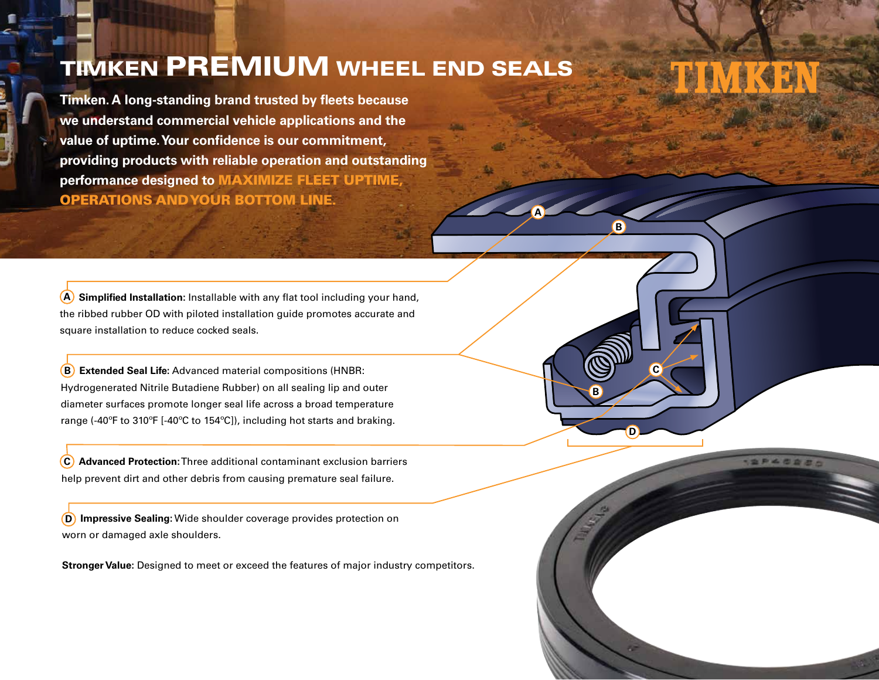## TIMKEN PREMIUM WHEEL END SEALS

**A**

**D**

**C**

**SP400R** 

**B**

**B**

**Timken. A long-standing brand trusted by fleets because we understand commercial vehicle applications and the value of uptime. Your confidence is our commitment, providing products with reliable operation and outstanding performance designed to** MAXIMIZE FLEET UPTIME, OPERATIONS AND YOUR BOTTOM LINE.

**Simplified Installation:** Installable with any flat tool including your hand, the ribbed rubber OD with piloted installation guide promotes accurate and square installation to reduce cocked seals. **A**

**Extended Seal Life:** Advanced material compositions (HNBR: **B** Hydrogenerated Nitrile Butadiene Rubber) on all sealing lip and outer diameter surfaces promote longer seal life across a broad temperature range (-40ºF to 310ºF [-40ºC to 154ºC]), including hot starts and braking.

**Advanced Protection:** Three additional contaminant exclusion barriers help prevent dirt and other debris from causing premature seal failure. **C**

**Impressive Sealing:** Wide shoulder coverage provides protection on **D** worn or damaged axle shoulders.

**Stronger Value:** Designed to meet or exceed the features of major industry competitors.